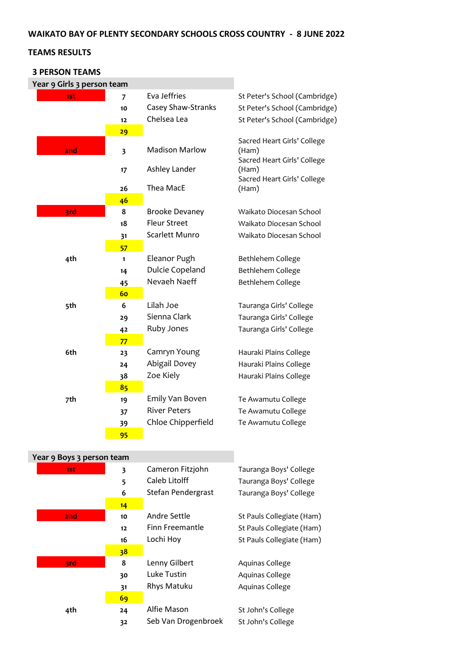### **WAIKATO BAY OF PLENTY SECONDARY SCHOOLS CROSS COUNTRY - 8 JUNE 2022**

## **TEAMS RESULTS**

#### **3 PERSON TEAMS**

| Year 9 Girls 3 person team |                         |                           |                                                                     |
|----------------------------|-------------------------|---------------------------|---------------------------------------------------------------------|
| 1st                        | 7                       | Eva Jeffries              | St Peter's School (Cambridge)                                       |
|                            | 10                      | <b>Casey Shaw-Stranks</b> | St Peter's School (Cambridge)                                       |
|                            | 12                      | Chelsea Lea               | St Peter's School (Cambridge)                                       |
|                            | 29                      |                           |                                                                     |
| 2nd                        | $\overline{\mathbf{3}}$ | <b>Madison Marlow</b>     | Sacred Heart Girls' College<br>(Ham)<br>Sacred Heart Girls' College |
|                            | 17                      | Ashley Lander             | (Ham)                                                               |
|                            | 26                      | Thea MacE                 | Sacred Heart Girls' College<br>(Ham)                                |
|                            | 46                      |                           |                                                                     |
| 3rd                        | 8                       | <b>Brooke Devaney</b>     | Waikato Diocesan School                                             |
|                            | 18                      | <b>Fleur Street</b>       | Waikato Diocesan School                                             |
|                            | 31                      | <b>Scarlett Munro</b>     | Waikato Diocesan School                                             |
|                            | 57                      |                           |                                                                     |
| 4th                        | 1                       | Eleanor Pugh              | Bethlehem College                                                   |
|                            | 14                      | Dulcie Copeland           | Bethlehem College                                                   |
|                            | 45                      | Nevaeh Naeff              | Bethlehem College                                                   |
|                            | 60                      |                           |                                                                     |
| 5th                        | 6                       | Lilah Joe                 | Tauranga Girls' College                                             |
|                            | 29                      | Sienna Clark              | Tauranga Girls' College                                             |
|                            | 42                      | Ruby Jones                | Tauranga Girls' College                                             |
|                            | 77                      |                           |                                                                     |
| 6th                        | 23                      | Camryn Young              | Hauraki Plains College                                              |
|                            | 24                      | Abigail Dovey             | Hauraki Plains College                                              |
|                            | 38                      | Zoe Kiely                 | Hauraki Plains College                                              |
|                            | 85                      |                           |                                                                     |
| 7th                        | 19                      | Emily Van Boven           | Te Awamutu College                                                  |
|                            | 37                      | <b>River Peters</b>       | Te Awamutu College                                                  |
|                            | 39                      | Chloe Chipperfield        | Te Awamutu College                                                  |
|                            | 95                      |                           |                                                                     |

| Year 9 Boys 3 person team |             |                                                         |                                                                            |
|---------------------------|-------------|---------------------------------------------------------|----------------------------------------------------------------------------|
| 1st                       | 3<br>5<br>6 | Cameron Fitzjohn<br>Caleb Litolff<br>Stefan Pendergrast | Tauranga Boys' College<br>Tauranga Boys' College<br>Tauranga Boys' College |
|                           | 14          |                                                         |                                                                            |
| 2nd                       | 10          | Andre Settle                                            | St Pauls Collegiate (Ham)                                                  |
|                           | 12          | Finn Freemantle                                         | St Pauls Collegiate (Ham)                                                  |
|                           | 16          | Lochi Hoy                                               | St Pauls Collegiate (Ham)                                                  |
|                           | 38          |                                                         |                                                                            |
| 3rd                       | 8           | Lenny Gilbert                                           | Aquinas College                                                            |
|                           | 30          | Luke Tustin                                             | Aquinas College                                                            |
|                           | 31          | <b>Rhys Matuku</b>                                      | Aquinas College                                                            |
|                           | 69          |                                                         |                                                                            |
| 4th                       | 24          | Alfie Mason                                             | St John's College                                                          |
|                           | 32          | Seb Van Drogenbroek                                     | St John's College                                                          |
|                           |             |                                                         |                                                                            |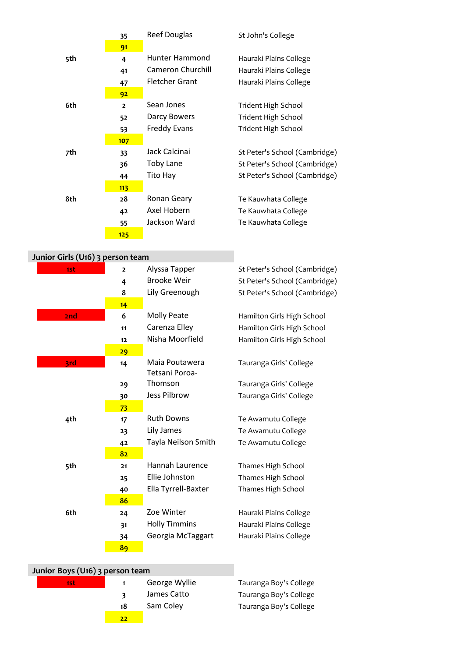|     | 35             | <b>Reef Douglas</b>      | St John's College             |
|-----|----------------|--------------------------|-------------------------------|
|     | 91             |                          |                               |
| 5th | 4              | Hunter Hammond           | Hauraki Plains College        |
|     | 41             | <b>Cameron Churchill</b> | Hauraki Plains College        |
|     | 47             | Fletcher Grant           | Hauraki Plains College        |
|     | 92             |                          |                               |
| 6th | $\overline{2}$ | Sean Jones               | Trident High School           |
|     | 52             | Darcy Bowers             | Trident High School           |
|     | 53             | <b>Freddy Evans</b>      | <b>Trident High School</b>    |
|     | 107            |                          |                               |
| 7th | 33             | Jack Calcinai            | St Peter's School (Cambridge) |
|     | 36             | <b>Toby Lane</b>         | St Peter's School (Cambridge) |
|     | 44             | Tito Hay                 | St Peter's School (Cambridge) |
|     | 113            |                          |                               |
| 8th | 28             | <b>Ronan Geary</b>       | Te Kauwhata College           |
|     | 42             | Axel Hobern              | Te Kauwhata College           |
|     | 55             | Jackson Ward             | Te Kauwhata College           |
|     | 125            |                          |                               |

| Junior Girls (U16) 3 person team |                |                      |                               |
|----------------------------------|----------------|----------------------|-------------------------------|
| 1st                              | $\overline{2}$ | Alyssa Tapper        | St Peter's School (Cambridge) |
|                                  | 4              | <b>Brooke Weir</b>   | St Peter's School (Cambridge) |
|                                  | 8              | Lily Greenough       | St Peter's School (Cambridge) |
|                                  | 14             |                      |                               |
| 2nd                              | 6              | <b>Molly Peate</b>   | Hamilton Girls High School    |
|                                  | 11             | Carenza Elley        | Hamilton Girls High School    |
|                                  | 12             | Nisha Moorfield      | Hamilton Girls High School    |
|                                  | 29             |                      |                               |
| 3rd                              | 14             | Maia Poutawera       | Tauranga Girls' College       |
|                                  |                | Tetsani Poroa-       |                               |
|                                  | 29             | Thomson              | Tauranga Girls' College       |
|                                  | 30             | Jess Pilbrow         | Tauranga Girls' College       |
|                                  | 73             |                      |                               |
| 4th                              | 17             | <b>Ruth Downs</b>    | Te Awamutu College            |
|                                  | 23             | Lily James           | Te Awamutu College            |
|                                  | 42             | Tayla Neilson Smith  | Te Awamutu College            |
|                                  | 82             |                      |                               |
| 5th                              | 21             | Hannah Laurence      | Thames High School            |
|                                  | 25             | Ellie Johnston       | Thames High School            |
|                                  | 40             | Ella Tyrrell-Baxter  | Thames High School            |
|                                  | 86             |                      |                               |
| 6th                              | 24             | Zoe Winter           | Hauraki Plains College        |
|                                  | 31             | <b>Holly Timmins</b> | Hauraki Plains College        |
|                                  | 34             | Georgia McTaggart    | Hauraki Plains College        |
|                                  | 89             |                      |                               |

| Junior Boys (U16) 3 person team |    |               |                        |
|---------------------------------|----|---------------|------------------------|
| 1st.                            |    | George Wyllie | Tauranga Boy's College |
|                                 |    | James Catto   | Tauranga Boy's College |
|                                 | 18 | Sam Coley     | Tauranga Boy's College |
|                                 | 22 |               |                        |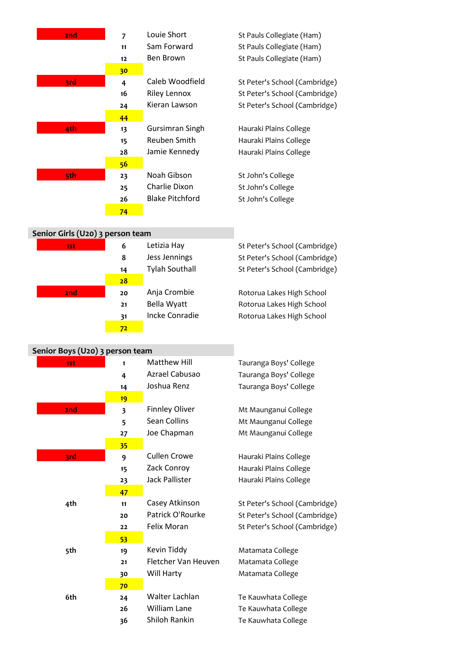| 2nd                              | $\overline{7}$          | Louie Short            | St Pauls Collegiate (Ham)     |
|----------------------------------|-------------------------|------------------------|-------------------------------|
|                                  | 11                      | Sam Forward            | St Pauls Collegiate (Ham)     |
|                                  | 12                      | Ben Brown              | St Pauls Collegiate (Ham)     |
|                                  | 30                      |                        |                               |
| 3rd                              | 4                       | Caleb Woodfield        | St Peter's School (Cambridge) |
|                                  | 16                      | <b>Riley Lennox</b>    | St Peter's School (Cambridge) |
|                                  | 24                      | Kieran Lawson          | St Peter's School (Cambridge) |
|                                  | 44                      |                        |                               |
| 4th                              | 13                      | Gursimran Singh        | Hauraki Plains College        |
|                                  | 15                      | Reuben Smith           | Hauraki Plains College        |
|                                  | 28                      | Jamie Kennedy          | Hauraki Plains College        |
|                                  | 56                      |                        |                               |
| 5th                              | 23                      | Noah Gibson            | St John's College             |
|                                  | 25                      | Charlie Dixon          | St John's College             |
|                                  | 26                      | <b>Blake Pitchford</b> | St John's College             |
|                                  | 74                      |                        |                               |
|                                  |                         |                        |                               |
| Senior Girls (U20) 3 person team |                         |                        |                               |
| 1st                              | 6                       | Letizia Hay            | St Peter's School (Cambridge) |
|                                  | 8                       | Jess Jennings          | St Peter's School (Cambridge) |
|                                  | 14                      | <b>Tylah Southall</b>  | St Peter's School (Cambridge) |
|                                  | 28                      |                        |                               |
| 2nd                              | 20                      | Anja Crombie           | Rotorua Lakes High School     |
|                                  | 21                      | Bella Wyatt            | Rotorua Lakes High School     |
|                                  | 31                      | <b>Incke Conradie</b>  | Rotorua Lakes High School     |
|                                  | 72                      |                        |                               |
| Senior Boys (U20) 3 person team  |                         |                        |                               |
| 1st                              | 1                       | <b>Matthew Hill</b>    | Tauranga Boys' College        |
|                                  | 4                       | Azrael Cabusao         | Tauranga Boys' College        |
|                                  | 14                      | Joshua Renz            | Tauranga Boys' College        |
|                                  | 19                      |                        |                               |
| 2nd                              | $\overline{\mathbf{3}}$ | <b>Finnley Oliver</b>  | Mt Maunganui College          |
|                                  | 5                       | Sean Collins           | Mt Maunganui College          |
|                                  | 27                      | Joe Chapman            | Mt Maunganui College          |
|                                  | 35                      |                        |                               |
| 3rd                              | 9                       | <b>Cullen Crowe</b>    | Hauraki Plains College        |
|                                  | 15                      | Zack Conroy            | Hauraki Plains College        |
|                                  | 23                      | Jack Pallister         | Hauraki Plains College        |
|                                  | 47                      |                        |                               |
| 4th                              | 11                      | Casey Atkinson         | St Peter's School (Cambridge) |
|                                  | 20                      | Patrick O'Rourke       | St Peter's School (Cambridge) |
|                                  | 22                      | Felix Moran            | St Peter's School (Cambridge) |
|                                  | 53                      |                        |                               |
| 5th                              | 19                      | Kevin Tiddy            | Matamata College              |
|                                  | 21                      | Fletcher Van Heuven    | Matamata College              |
|                                  | 30                      | Will Harty             | Matamata College              |
|                                  | 70                      |                        |                               |
| 6th                              | 24                      | Walter Lachlan         | Te Kauwhata College           |

26 William Lane Te Kauwhata College Shiloh Rankin Te Kauwhata College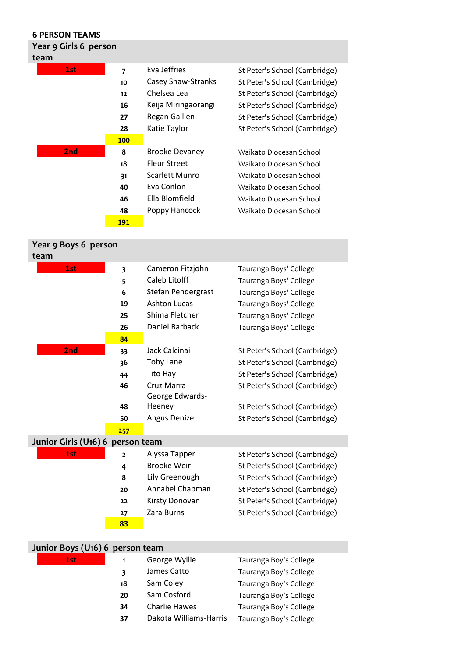| <b>6 PERSON TEAMS</b> |                |                       |                               |
|-----------------------|----------------|-----------------------|-------------------------------|
| Year 9 Girls 6 person |                |                       |                               |
| team                  |                |                       |                               |
| 1st                   | $\overline{7}$ | Eva Jeffries          | St Peter's School (Cambridge) |
|                       | 10             | Casey Shaw-Stranks    | St Peter's School (Cambridge) |
|                       | 12             | Chelsea Lea           | St Peter's School (Cambridge) |
|                       | 16             | Keija Miringaorangi   | St Peter's School (Cambridge) |
|                       | 27             | Regan Gallien         | St Peter's School (Cambridge) |
|                       | 28             | Katie Taylor          | St Peter's School (Cambridge) |
|                       | <b>100</b>     |                       |                               |
| 2nd                   | 8              | <b>Brooke Devaney</b> | Waikato Diocesan School       |
|                       | 18             | <b>Fleur Street</b>   | Waikato Diocesan School       |
|                       | 31             | Scarlett Munro        | Waikato Diocesan School       |
|                       | 40             | Eva Conlon            | Waikato Diocesan School       |
|                       | 46             | Ella Blomfield        | Waikato Diocesan School       |
|                       | 48             | Poppy Hancock         | Waikato Diocesan School       |

**191**

## **Year 9 Boys 6 person team 1st 3** Cameron Fitzjohn Tauranga Boys' College **5** Caleb Litolff Tauranga Boys' College **6** Stefan Pendergrast Tauranga Boys' College **19** Ashton Lucas Tauranga Boys' College 25 Shima Fletcher Tauranga Boys' College **26** Daniel Barback Tauranga Boys' College **84 2nd 33** Jack Calcinai St Peter's School (Cambridge) **36** Toby Lane St Peter's School (Cambridge) 44 Tito Hay St Peter's School (Cambridge) 46 Cruz Marra St Peter's School (Cambridge) **48** George Edwards-Heeney St Peter's School (Cambridge) **50** Angus Denize St Peter's School (Cambridge) **257 Junior Girls (U16) 6 person team** 1st **2 2** Alyssa Tapper St Peter's School (Cambridge) 4 Brooke Weir St Peter's School (Cambridge) 8 Lily Greenough St Peter's School (Cambridge) **20** Annabel Chapman St Peter's School (Cambridge) **22** Kirsty Donovan St Peter's School (Cambridge) 27 Zara Burns St Peter's School (Cambridge) **83**

| Junior Boys (U <sub>16</sub> ) 6 person team |    |                        |                        |  |  |
|----------------------------------------------|----|------------------------|------------------------|--|--|
| 1st                                          |    | George Wyllie          | Tauranga Boy's College |  |  |
|                                              | 3  | James Catto            | Tauranga Boy's College |  |  |
|                                              | 18 | Sam Coley              | Tauranga Boy's College |  |  |
|                                              | 20 | Sam Cosford            | Tauranga Boy's College |  |  |
|                                              | 34 | <b>Charlie Hawes</b>   | Tauranga Boy's College |  |  |
|                                              | 37 | Dakota Williams-Harris | Tauranga Boy's College |  |  |
|                                              |    |                        |                        |  |  |